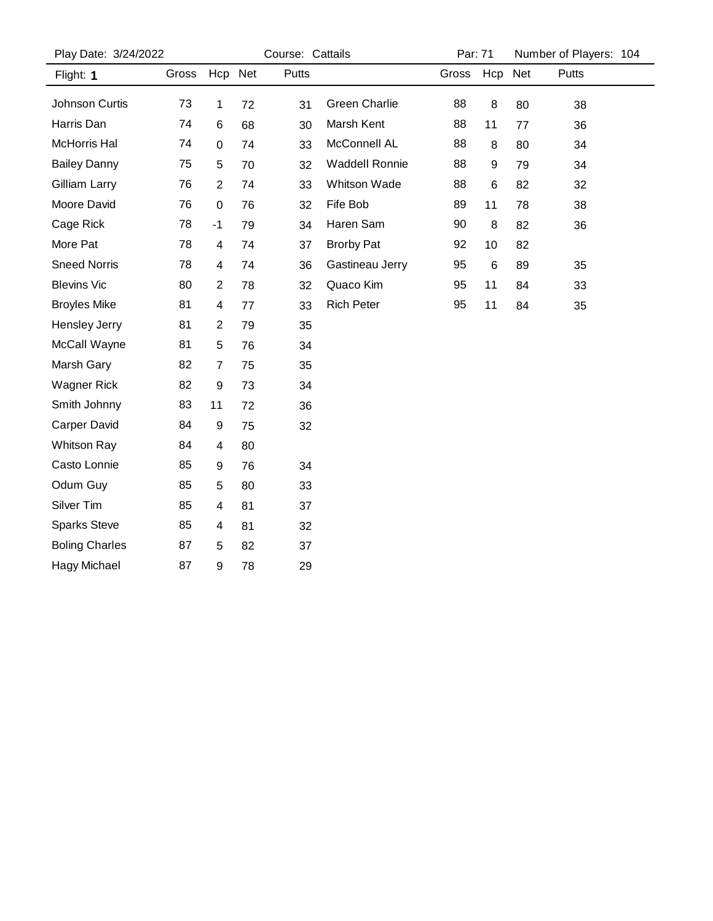| Play Date: 3/24/2022  | Course: Cattails |                |    |       |                       | Par: 71 |     | Number of Players: 104 |       |  |
|-----------------------|------------------|----------------|----|-------|-----------------------|---------|-----|------------------------|-------|--|
| Flight: 1             | Gross            | Hcp Net        |    | Putts |                       | Gross   | Hcp | Net                    | Putts |  |
| Johnson Curtis        | 73               | 1              | 72 | 31    | <b>Green Charlie</b>  | 88      | 8   | 80                     | 38    |  |
| Harris Dan            | 74               | 6              | 68 | 30    | Marsh Kent            | 88      | 11  | 77                     | 36    |  |
| McHorris Hal          | 74               | 0              | 74 | 33    | McConnell AL          | 88      | 8   | 80                     | 34    |  |
| <b>Bailey Danny</b>   | 75               | 5              | 70 | 32    | <b>Waddell Ronnie</b> | 88      | 9   | 79                     | 34    |  |
| Gilliam Larry         | 76               | $\overline{2}$ | 74 | 33    | Whitson Wade          | 88      | 6   | 82                     | 32    |  |
| Moore David           | 76               | 0              | 76 | 32    | Fife Bob              | 89      | 11  | 78                     | 38    |  |
| Cage Rick             | 78               | -1             | 79 | 34    | Haren Sam             | 90      | 8   | 82                     | 36    |  |
| More Pat              | 78               | 4              | 74 | 37    | <b>Brorby Pat</b>     | 92      | 10  | 82                     |       |  |
| <b>Sneed Norris</b>   | 78               | 4              | 74 | 36    | Gastineau Jerry       | 95      | 6   | 89                     | 35    |  |
| <b>Blevins Vic</b>    | 80               | $\overline{c}$ | 78 | 32    | Quaco Kim             | 95      | 11  | 84                     | 33    |  |
| <b>Broyles Mike</b>   | 81               | 4              | 77 | 33    | <b>Rich Peter</b>     | 95      | 11  | 84                     | 35    |  |
| Hensley Jerry         | 81               | $\overline{2}$ | 79 | 35    |                       |         |     |                        |       |  |
| McCall Wayne          | 81               | 5              | 76 | 34    |                       |         |     |                        |       |  |
| Marsh Gary            | 82               | $\overline{7}$ | 75 | 35    |                       |         |     |                        |       |  |
| <b>Wagner Rick</b>    | 82               | 9              | 73 | 34    |                       |         |     |                        |       |  |
| Smith Johnny          | 83               | 11             | 72 | 36    |                       |         |     |                        |       |  |
| <b>Carper David</b>   | 84               | 9              | 75 | 32    |                       |         |     |                        |       |  |
| <b>Whitson Ray</b>    | 84               | 4              | 80 |       |                       |         |     |                        |       |  |
| Casto Lonnie          | 85               | 9              | 76 | 34    |                       |         |     |                        |       |  |
| Odum Guy              | 85               | 5              | 80 | 33    |                       |         |     |                        |       |  |
| Silver Tim            | 85               | 4              | 81 | 37    |                       |         |     |                        |       |  |
| <b>Sparks Steve</b>   | 85               | 4              | 81 | 32    |                       |         |     |                        |       |  |
| <b>Boling Charles</b> | 87               | 5              | 82 | 37    |                       |         |     |                        |       |  |
| Hagy Michael          | 87               | 9              | 78 | 29    |                       |         |     |                        |       |  |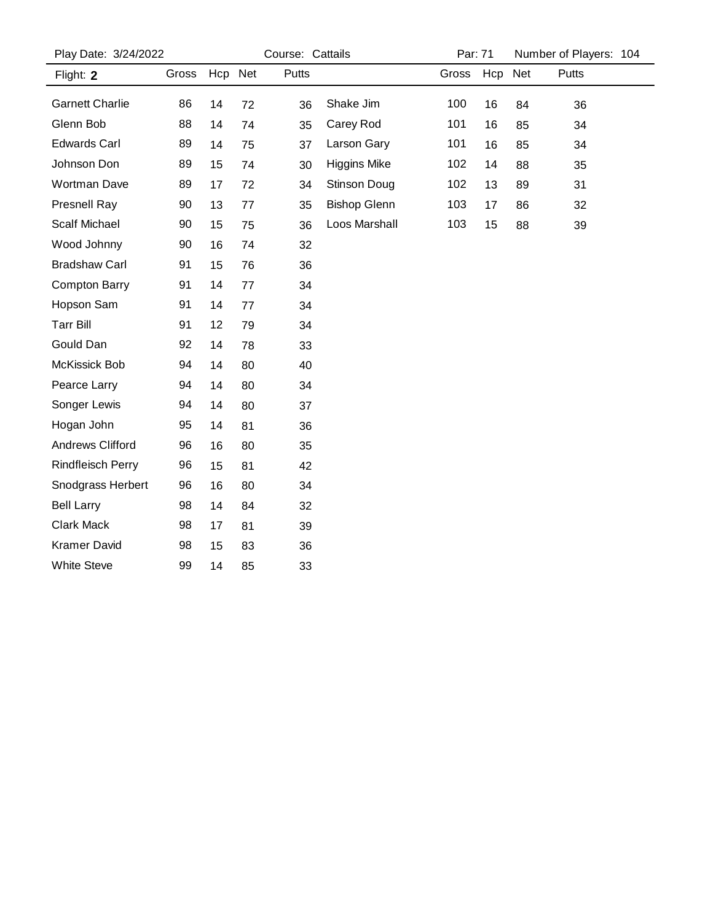| Play Date: 3/24/2022     |       |         | Course: Cattails |       |                     |       | Par: 71 |     | Number of Players: 104 |  |
|--------------------------|-------|---------|------------------|-------|---------------------|-------|---------|-----|------------------------|--|
| Flight: 2                | Gross | Hcp Net |                  | Putts |                     | Gross | Hcp     | Net | Putts                  |  |
| <b>Garnett Charlie</b>   | 86    | 14      | 72               | 36    | Shake Jim           | 100   | 16      | 84  | 36                     |  |
| Glenn Bob                | 88    | 14      | 74               | 35    | Carey Rod           | 101   | 16      | 85  | 34                     |  |
| <b>Edwards Carl</b>      | 89    | 14      | 75               | 37    | Larson Gary         | 101   | 16      | 85  | 34                     |  |
| Johnson Don              | 89    | 15      | 74               | 30    | <b>Higgins Mike</b> | 102   | 14      | 88  | 35                     |  |
| <b>Wortman Dave</b>      | 89    | 17      | 72               | 34    | Stinson Doug        | 102   | 13      | 89  | 31                     |  |
| <b>Presnell Ray</b>      | 90    | 13      | 77               | 35    | <b>Bishop Glenn</b> | 103   | 17      | 86  | 32                     |  |
| <b>Scalf Michael</b>     | 90    | 15      | 75               | 36    | Loos Marshall       | 103   | 15      | 88  | 39                     |  |
| Wood Johnny              | 90    | 16      | 74               | 32    |                     |       |         |     |                        |  |
| <b>Bradshaw Carl</b>     | 91    | 15      | 76               | 36    |                     |       |         |     |                        |  |
| <b>Compton Barry</b>     | 91    | 14      | 77               | 34    |                     |       |         |     |                        |  |
| Hopson Sam               | 91    | 14      | 77               | 34    |                     |       |         |     |                        |  |
| <b>Tarr Bill</b>         | 91    | 12      | 79               | 34    |                     |       |         |     |                        |  |
| Gould Dan                | 92    | 14      | 78               | 33    |                     |       |         |     |                        |  |
| McKissick Bob            | 94    | 14      | 80               | 40    |                     |       |         |     |                        |  |
| Pearce Larry             | 94    | 14      | 80               | 34    |                     |       |         |     |                        |  |
| Songer Lewis             | 94    | 14      | 80               | 37    |                     |       |         |     |                        |  |
| Hogan John               | 95    | 14      | 81               | 36    |                     |       |         |     |                        |  |
| Andrews Clifford         | 96    | 16      | 80               | 35    |                     |       |         |     |                        |  |
| <b>Rindfleisch Perry</b> | 96    | 15      | 81               | 42    |                     |       |         |     |                        |  |
| Snodgrass Herbert        | 96    | 16      | 80               | 34    |                     |       |         |     |                        |  |
| <b>Bell Larry</b>        | 98    | 14      | 84               | 32    |                     |       |         |     |                        |  |
| Clark Mack               | 98    | 17      | 81               | 39    |                     |       |         |     |                        |  |
| <b>Kramer David</b>      | 98    | 15      | 83               | 36    |                     |       |         |     |                        |  |
| <b>White Steve</b>       | 99    | 14      | 85               | 33    |                     |       |         |     |                        |  |